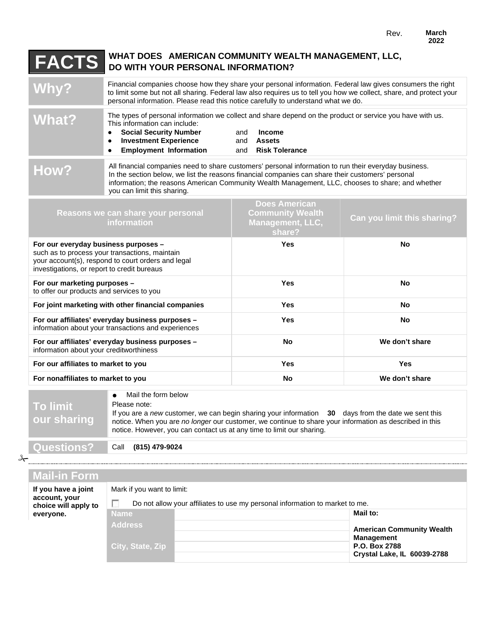## **FACTS WHAT DOES AMERICAN COMMUNITY WEALTH MANAGEMENT, LLC, DO WITH YOUR PERSONAL INFORMATION?**

Financial companies choose how they share your personal information. Federal law gives consumers the right<br>to limit some but not all sharing. Federal law also requires us to tell you how we collect, share, and protect your personal information. Please read this notice carefully to understand what we do. **What?** The types of personal information we collect and share depend on the product or service you have with us.<br>
This information can include:<br>
• Social Security Number and Income This information can include: ● **Social Security Number** and **Income**<br>● Investment Experience and Assets **•** Investment Experience ● **Employment Information** and **Risk Tolerance HOW?** All financial companies need to share customers' personal information to run their everyday business.<br>In the section below, we list the reasons financial companies can share their customers' personal information; the reasons American Community Wealth Management, LLC, chooses to share; and whether you can limit this sharing. **Does American** 

| Reasons we can share your personal<br><i>information</i>                                                                                                                                    | <b>DUGS ATTURE</b><br><b>Community Wealth</b><br><b>Management, LLC,</b><br>share? | Can you limit this sharing? |
|---------------------------------------------------------------------------------------------------------------------------------------------------------------------------------------------|------------------------------------------------------------------------------------|-----------------------------|
| For our everyday business purposes -<br>such as to process your transactions, maintain<br>your account(s), respond to court orders and legal<br>investigations, or report to credit bureaus | <b>Yes</b>                                                                         | No                          |
| For our marketing purposes -<br>to offer our products and services to you                                                                                                                   | <b>Yes</b>                                                                         | No                          |
| For joint marketing with other financial companies                                                                                                                                          | <b>Yes</b>                                                                         | No                          |
| For our affiliates' everyday business purposes -<br>information about your transactions and experiences                                                                                     | <b>Yes</b>                                                                         | No                          |
| For our affiliates' everyday business purposes -<br>information about your creditworthiness                                                                                                 | No.                                                                                | We don't share              |
| For our affiliates to market to you                                                                                                                                                         | <b>Yes</b>                                                                         | Yes                         |
| For nonaffiliates to market to you                                                                                                                                                          | No                                                                                 | We don't share              |

| <b>To limit</b><br>our sharing | Mail the form below<br>Please note:<br>If you are a new customer, we can begin sharing your information 30 days from the date we sent this<br>notice. When you are no longer our customer, we continue to share your information as described in this<br>notice. However, you can contact us at any time to limit our sharing. |
|--------------------------------|--------------------------------------------------------------------------------------------------------------------------------------------------------------------------------------------------------------------------------------------------------------------------------------------------------------------------------|
|                                |                                                                                                                                                                                                                                                                                                                                |
| Questions?                     | (815) 479-9024<br>Call                                                                                                                                                                                                                                                                                                         |

 $\rightarrow$ 

| <b>Mail-in Form</b>                   |                                                                              |                                                       |  |
|---------------------------------------|------------------------------------------------------------------------------|-------------------------------------------------------|--|
| If you have a joint                   | Mark if you want to limit:                                                   |                                                       |  |
| account, your<br>choice will apply to | Do not allow your affiliates to use my personal information to market to me. |                                                       |  |
| everyone.                             | <b>Name</b>                                                                  | Mail to:                                              |  |
|                                       | <b>Address</b>                                                               | <b>American Community Wealth</b><br><b>Management</b> |  |
|                                       | City, State, Zip                                                             | P.O. Box 2788<br>Crystal Lake, IL 60039-2788          |  |